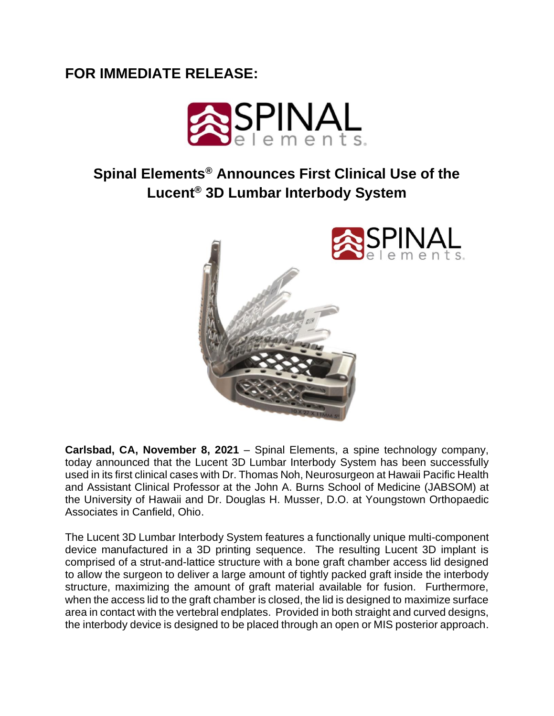## **FOR IMMEDIATE RELEASE:**



## **Spinal Elements® Announces First Clinical Use of the Lucent® 3D Lumbar Interbody System**



**Carlsbad, CA, November 8, 2021** – Spinal Elements, a spine technology company, today announced that the Lucent 3D Lumbar Interbody System has been successfully used in its first clinical cases with Dr. Thomas Noh, Neurosurgeon at Hawaii Pacific Health and Assistant Clinical Professor at the John A. Burns School of Medicine (JABSOM) at the University of Hawaii and Dr. Douglas H. Musser, D.O. at Youngstown Orthopaedic Associates in Canfield, Ohio.

The Lucent 3D Lumbar Interbody System features a functionally unique multi-component device manufactured in a 3D printing sequence. The resulting Lucent 3D implant is comprised of a strut-and-lattice structure with a bone graft chamber access lid designed to allow the surgeon to deliver a large amount of tightly packed graft inside the interbody structure, maximizing the amount of graft material available for fusion. Furthermore, when the access lid to the graft chamber is closed, the lid is designed to maximize surface area in contact with the vertebral endplates. Provided in both straight and curved designs, the interbody device is designed to be placed through an open or MIS posterior approach.